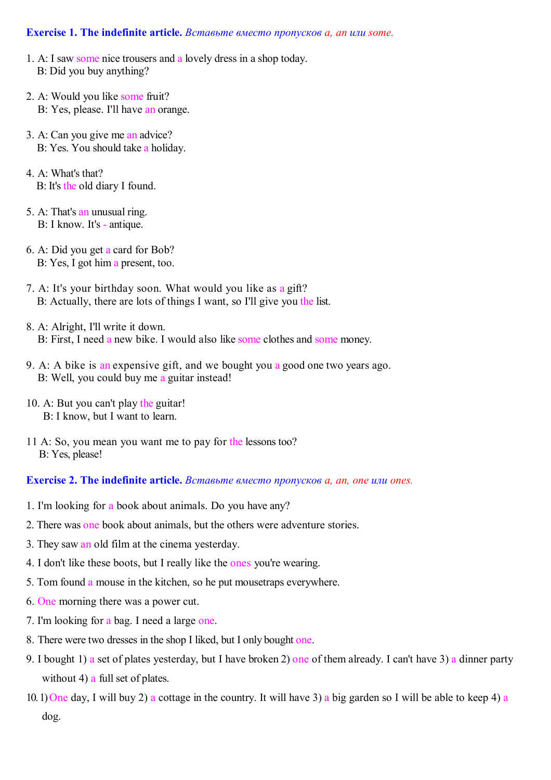## **Exercise 1. The indefinite article.** *Вставьте вместо пропусков a, an или some.*

- 1. A: I saw some nice trousers and a lovely dress in a shop today. B: Did you buy anything?
- 2. A: Would you like some fruit? B: Yes, please. I'll have an orange.
- 3. A: Can you give me an advice? B: Yes. You should take a holiday.
- 4. A: What's that? B: It's the old diary I found.
- 5. A: That's an unusual ring. В: I know. It's - antique.
- 6. A: Did you get a card for Bob? B: Yes, I got him a present, too.
- 7. A: It's your birthday soon. What would you like as a gift? B: Actually, there are lots of things I want, so I'll give you the list.
- 8. A: Alright, I'll write it down. B: First, I need a new bike. I would also like some clothes and some money.
- 9. A: A bike is an expensive gift, and we bought you a good one two years ago. B: Well, you could buy me a guitar instead!
- 10. A: But you can't play the guitar! B: I know, but I want to learn.
- 11 A: So, you mean you want me to pay for the lessons too? B: Yes, please!

**Exercise 2. The indefinite article.** *Вставьте вместо пропусков a, an, one или ones.*

- 1. I'm looking for a book about animals. Do you have any?
- 2. There was one book about animals, but the others were adventure stories.
- 3. They saw an old film at the cinema yesterday.
- 4. I don't like these boots, but I really like the ones you're wearing.
- 5. Tom found a mouse in the kitchen, so he put mousetraps everywhere.
- 6. One morning there was a power cut.
- 7. I'm looking for a bag. I need a large one.
- 8. There were two dresses in the shop I liked, but I only bought one.
- 9. I bought 1) a set of plates yesterday, but I have broken 2) one of them already. I can't have 3) a dinner party without 4) a full set of plates.
- 10. 1) One day, I will buy 2) a cottage in the country. It will have 3) a big garden so I will be able to keep 4) a dog.